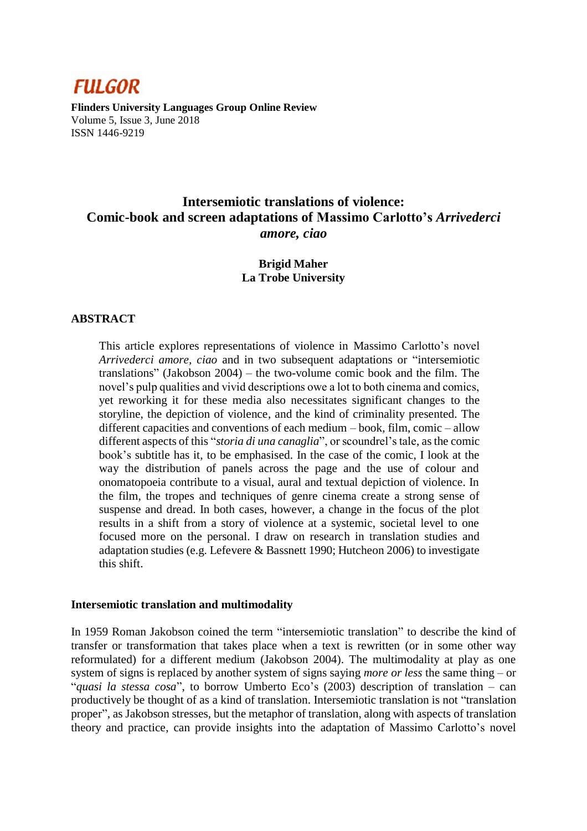

**Flinders University Languages Group Online Review** Volume 5, Issue 3, June 2018 ISSN 1446-9219

# **Intersemiotic translations of violence: Comic-book and screen adaptations of Massimo Carlotto's** *Arrivederci amore, ciao*

# **Brigid Maher La Trobe University**

### **ABSTRACT**

This article explores representations of violence in Massimo Carlotto's novel *Arrivederci amore, ciao* and in two subsequent adaptations or "intersemiotic translations" (Jakobson 2004) – the two-volume comic book and the film. The novel's pulp qualities and vivid descriptions owe a lot to both cinema and comics, yet reworking it for these media also necessitates significant changes to the storyline, the depiction of violence, and the kind of criminality presented. The different capacities and conventions of each medium – book, film, comic – allow different aspects of this "*storia di una canaglia*", or scoundrel's tale, as the comic book's subtitle has it, to be emphasised. In the case of the comic, I look at the way the distribution of panels across the page and the use of colour and onomatopoeia contribute to a visual, aural and textual depiction of violence. In the film, the tropes and techniques of genre cinema create a strong sense of suspense and dread. In both cases, however, a change in the focus of the plot results in a shift from a story of violence at a systemic, societal level to one focused more on the personal. I draw on research in translation studies and adaptation studies (e.g. Lefevere & Bassnett 1990; Hutcheon 2006) to investigate this shift.

#### **Intersemiotic translation and multimodality**

In 1959 Roman Jakobson coined the term "intersemiotic translation" to describe the kind of transfer or transformation that takes place when a text is rewritten (or in some other way reformulated) for a different medium (Jakobson 2004). The multimodality at play as one system of signs is replaced by another system of signs saying *more or less* the same thing – or "*quasi la stessa cosa*", to borrow Umberto Eco's (2003) description of translation – can productively be thought of as a kind of translation. Intersemiotic translation is not "translation proper", as Jakobson stresses, but the metaphor of translation, along with aspects of translation theory and practice, can provide insights into the adaptation of Massimo Carlotto's novel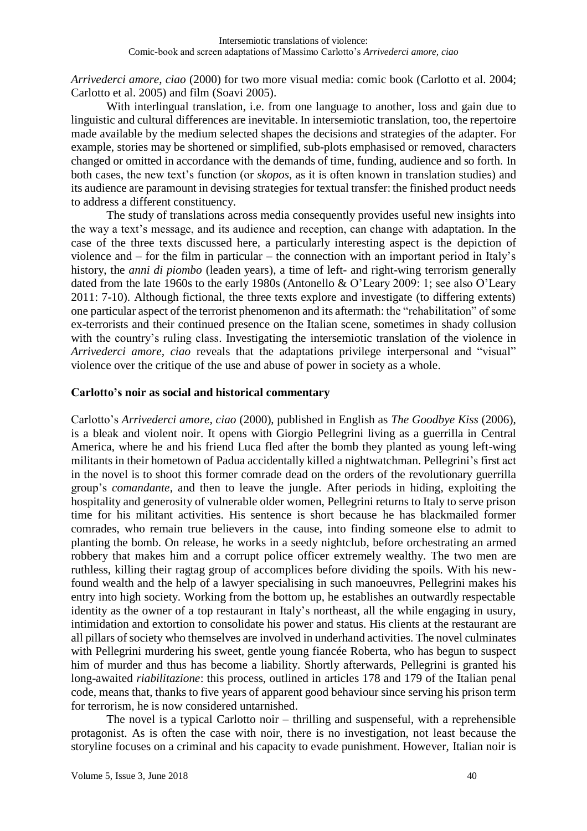*Arrivederci amore, ciao* (2000) for two more visual media: comic book (Carlotto et al. 2004; Carlotto et al. 2005) and film (Soavi 2005).

With interlingual translation, i.e. from one language to another, loss and gain due to linguistic and cultural differences are inevitable. In intersemiotic translation, too, the repertoire made available by the medium selected shapes the decisions and strategies of the adapter. For example, stories may be shortened or simplified, sub-plots emphasised or removed, characters changed or omitted in accordance with the demands of time, funding, audience and so forth. In both cases, the new text's function (or *skopos*, as it is often known in translation studies) and its audience are paramount in devising strategies for textual transfer: the finished product needs to address a different constituency.

The study of translations across media consequently provides useful new insights into the way a text's message, and its audience and reception, can change with adaptation. In the case of the three texts discussed here, a particularly interesting aspect is the depiction of violence and – for the film in particular – the connection with an important period in Italy's history, the *anni di piombo* (leaden years), a time of left- and right-wing terrorism generally dated from the late 1960s to the early 1980s (Antonello & O'Leary 2009: 1; see also O'Leary 2011: 7-10). Although fictional, the three texts explore and investigate (to differing extents) one particular aspect of the terrorist phenomenon and its aftermath: the "rehabilitation" of some ex-terrorists and their continued presence on the Italian scene, sometimes in shady collusion with the country's ruling class. Investigating the intersemiotic translation of the violence in *Arrivederci amore, ciao* reveals that the adaptations privilege interpersonal and "visual" violence over the critique of the use and abuse of power in society as a whole.

### **Carlotto's noir as social and historical commentary**

Carlotto's *Arrivederci amore, ciao* (2000), published in English as *The Goodbye Kiss* (2006), is a bleak and violent noir. It opens with Giorgio Pellegrini living as a guerrilla in Central America, where he and his friend Luca fled after the bomb they planted as young left-wing militants in their hometown of Padua accidentally killed a nightwatchman. Pellegrini's first act in the novel is to shoot this former comrade dead on the orders of the revolutionary guerrilla group's *comandante*, and then to leave the jungle. After periods in hiding, exploiting the hospitality and generosity of vulnerable older women, Pellegrini returns to Italy to serve prison time for his militant activities. His sentence is short because he has blackmailed former comrades, who remain true believers in the cause, into finding someone else to admit to planting the bomb. On release, he works in a seedy nightclub, before orchestrating an armed robbery that makes him and a corrupt police officer extremely wealthy. The two men are ruthless, killing their ragtag group of accomplices before dividing the spoils. With his newfound wealth and the help of a lawyer specialising in such manoeuvres, Pellegrini makes his entry into high society. Working from the bottom up, he establishes an outwardly respectable identity as the owner of a top restaurant in Italy's northeast, all the while engaging in usury, intimidation and extortion to consolidate his power and status. His clients at the restaurant are all pillars of society who themselves are involved in underhand activities. The novel culminates with Pellegrini murdering his sweet, gentle young fiancée Roberta, who has begun to suspect him of murder and thus has become a liability. Shortly afterwards, Pellegrini is granted his long-awaited *riabilitazione*: this process, outlined in articles 178 and 179 of the Italian penal code, means that, thanks to five years of apparent good behaviour since serving his prison term for terrorism, he is now considered untarnished.

The novel is a typical Carlotto noir – thrilling and suspenseful, with a reprehensible protagonist. As is often the case with noir, there is no investigation, not least because the storyline focuses on a criminal and his capacity to evade punishment. However, Italian noir is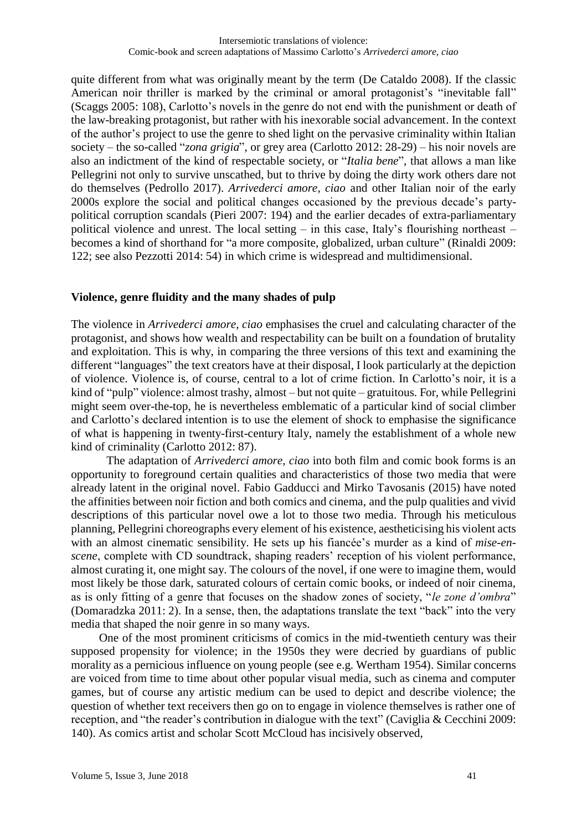quite different from what was originally meant by the term (De Cataldo 2008). If the classic American noir thriller is marked by the criminal or amoral protagonist's "inevitable fall" (Scaggs 2005: 108), Carlotto's novels in the genre do not end with the punishment or death of the law-breaking protagonist, but rather with his inexorable social advancement. In the context of the author's project to use the genre to shed light on the pervasive criminality within Italian society – the so-called "*zona grigia*", or grey area (Carlotto 2012: 28-29) – his noir novels are also an indictment of the kind of respectable society, or "*Italia bene*", that allows a man like Pellegrini not only to survive unscathed, but to thrive by doing the dirty work others dare not do themselves (Pedrollo 2017). *Arrivederci amore, ciao* and other Italian noir of the early 2000s explore the social and political changes occasioned by the previous decade's partypolitical corruption scandals (Pieri 2007: 194) and the earlier decades of extra-parliamentary political violence and unrest. The local setting – in this case, Italy's flourishing northeast – becomes a kind of shorthand for "a more composite, globalized, urban culture" (Rinaldi 2009: 122; see also Pezzotti 2014: 54) in which crime is widespread and multidimensional.

### **Violence, genre fluidity and the many shades of pulp**

The violence in *Arrivederci amore, ciao* emphasises the cruel and calculating character of the protagonist, and shows how wealth and respectability can be built on a foundation of brutality and exploitation. This is why, in comparing the three versions of this text and examining the different "languages" the text creators have at their disposal, I look particularly at the depiction of violence. Violence is, of course, central to a lot of crime fiction. In Carlotto's noir, it is a kind of "pulp" violence: almost trashy, almost – but not quite – gratuitous. For, while Pellegrini might seem over-the-top, he is nevertheless emblematic of a particular kind of social climber and Carlotto's declared intention is to use the element of shock to emphasise the significance of what is happening in twenty-first-century Italy, namely the establishment of a whole new kind of criminality (Carlotto 2012: 87).

The adaptation of *Arrivederci amore, ciao* into both film and comic book forms is an opportunity to foreground certain qualities and characteristics of those two media that were already latent in the original novel. Fabio Gadducci and Mirko Tavosanis (2015) have noted the affinities between noir fiction and both comics and cinema, and the pulp qualities and vivid descriptions of this particular novel owe a lot to those two media. Through his meticulous planning, Pellegrini choreographs every element of his existence, aestheticising his violent acts with an almost cinematic sensibility. He sets up his fiancée's murder as a kind of *mise-enscene*, complete with CD soundtrack, shaping readers' reception of his violent performance, almost curating it, one might say. The colours of the novel, if one were to imagine them, would most likely be those dark, saturated colours of certain comic books, or indeed of noir cinema, as is only fitting of a genre that focuses on the shadow zones of society, "*le zone d'ombra*" (Domaradzka 2011: 2). In a sense, then, the adaptations translate the text "back" into the very media that shaped the noir genre in so many ways.

One of the most prominent criticisms of comics in the mid-twentieth century was their supposed propensity for violence; in the 1950s they were decried by guardians of public morality as a pernicious influence on young people (see e.g. Wertham 1954). Similar concerns are voiced from time to time about other popular visual media, such as cinema and computer games, but of course any artistic medium can be used to depict and describe violence; the question of whether text receivers then go on to engage in violence themselves is rather one of reception, and "the reader's contribution in dialogue with the text" (Caviglia & Cecchini 2009: 140). As comics artist and scholar Scott McCloud has incisively observed,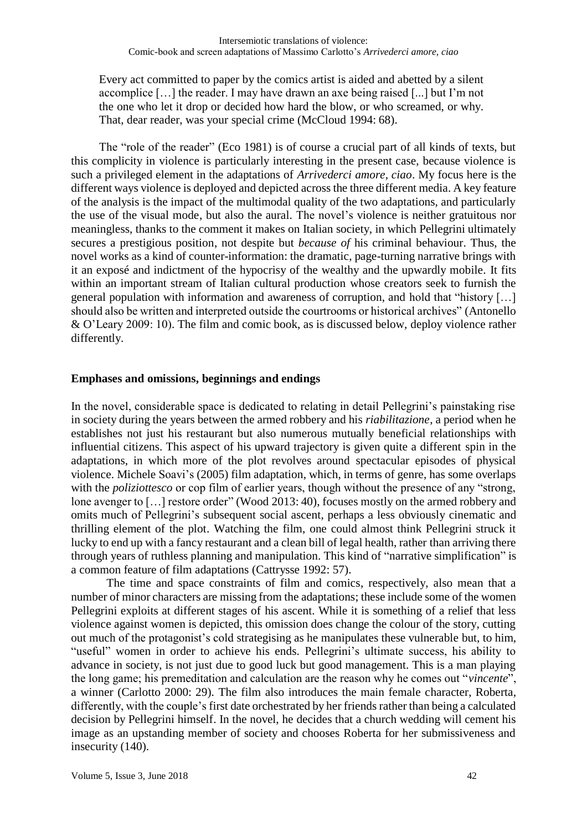Every act committed to paper by the comics artist is aided and abetted by a silent accomplice […] the reader. I may have drawn an axe being raised [...] but I'm not the one who let it drop or decided how hard the blow, or who screamed, or why. That, dear reader, was your special crime (McCloud 1994: 68).

The "role of the reader" (Eco 1981) is of course a crucial part of all kinds of texts, but this complicity in violence is particularly interesting in the present case, because violence is such a privileged element in the adaptations of *Arrivederci amore, ciao*. My focus here is the different ways violence is deployed and depicted across the three different media. A key feature of the analysis is the impact of the multimodal quality of the two adaptations, and particularly the use of the visual mode, but also the aural. The novel's violence is neither gratuitous nor meaningless, thanks to the comment it makes on Italian society, in which Pellegrini ultimately secures a prestigious position, not despite but *because of* his criminal behaviour. Thus, the novel works as a kind of counter-information: the dramatic, page-turning narrative brings with it an exposé and indictment of the hypocrisy of the wealthy and the upwardly mobile. It fits within an important stream of Italian cultural production whose creators seek to furnish the general population with information and awareness of corruption, and hold that "history […] should also be written and interpreted outside the courtrooms or historical archives" (Antonello & O'Leary 2009: 10). The film and comic book, as is discussed below, deploy violence rather differently.

### **Emphases and omissions, beginnings and endings**

In the novel, considerable space is dedicated to relating in detail Pellegrini's painstaking rise in society during the years between the armed robbery and his *riabilitazione*, a period when he establishes not just his restaurant but also numerous mutually beneficial relationships with influential citizens. This aspect of his upward trajectory is given quite a different spin in the adaptations, in which more of the plot revolves around spectacular episodes of physical violence. Michele Soavi's (2005) film adaptation, which, in terms of genre, has some overlaps with the *poliziottesco* or cop film of earlier years, though without the presence of any "strong, lone avenger to [...] restore order" (Wood 2013: 40), focuses mostly on the armed robbery and omits much of Pellegrini's subsequent social ascent, perhaps a less obviously cinematic and thrilling element of the plot. Watching the film, one could almost think Pellegrini struck it lucky to end up with a fancy restaurant and a clean bill of legal health, rather than arriving there through years of ruthless planning and manipulation. This kind of "narrative simplification" is a common feature of film adaptations (Cattrysse 1992: 57).

The time and space constraints of film and comics, respectively, also mean that a number of minor characters are missing from the adaptations; these include some of the women Pellegrini exploits at different stages of his ascent. While it is something of a relief that less violence against women is depicted, this omission does change the colour of the story, cutting out much of the protagonist's cold strategising as he manipulates these vulnerable but, to him, "useful" women in order to achieve his ends. Pellegrini's ultimate success, his ability to advance in society, is not just due to good luck but good management. This is a man playing the long game; his premeditation and calculation are the reason why he comes out "*vincente*", a winner (Carlotto 2000: 29). The film also introduces the main female character, Roberta, differently, with the couple's first date orchestrated by her friends rather than being a calculated decision by Pellegrini himself. In the novel, he decides that a church wedding will cement his image as an upstanding member of society and chooses Roberta for her submissiveness and insecurity (140).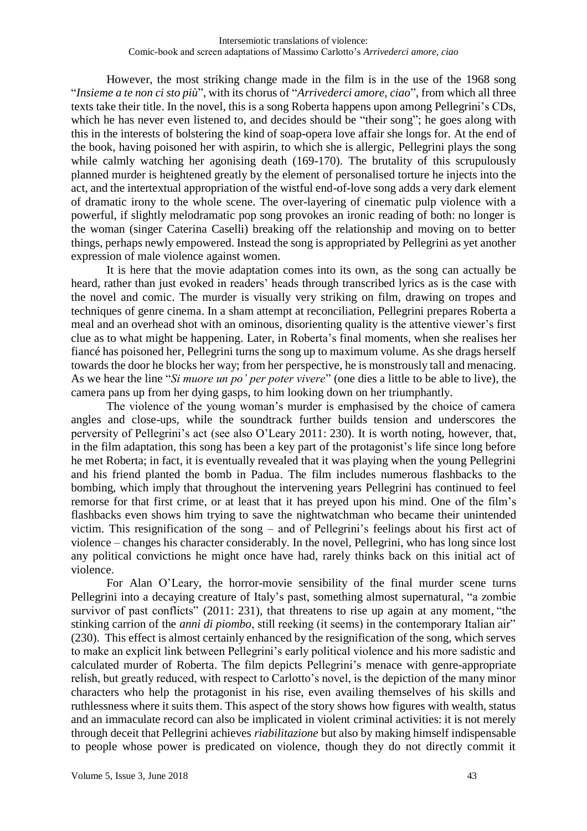However, the most striking change made in the film is in the use of the 1968 song "*Insieme a te non ci sto più*", with its chorus of "*Arrivederci amore, ciao*", from which all three texts take their title. In the novel, this is a song Roberta happens upon among Pellegrini's CDs, which he has never even listened to, and decides should be "their song"; he goes along with this in the interests of bolstering the kind of soap-opera love affair she longs for. At the end of the book, having poisoned her with aspirin, to which she is allergic, Pellegrini plays the song while calmly watching her agonising death (169-170). The brutality of this scrupulously planned murder is heightened greatly by the element of personalised torture he injects into the act, and the intertextual appropriation of the wistful end-of-love song adds a very dark element of dramatic irony to the whole scene. The over-layering of cinematic pulp violence with a powerful, if slightly melodramatic pop song provokes an ironic reading of both: no longer is the woman (singer Caterina Caselli) breaking off the relationship and moving on to better things, perhaps newly empowered. Instead the song is appropriated by Pellegrini as yet another expression of male violence against women.

It is here that the movie adaptation comes into its own, as the song can actually be heard, rather than just evoked in readers' heads through transcribed lyrics as is the case with the novel and comic. The murder is visually very striking on film, drawing on tropes and techniques of genre cinema. In a sham attempt at reconciliation, Pellegrini prepares Roberta a meal and an overhead shot with an ominous, disorienting quality is the attentive viewer's first clue as to what might be happening. Later, in Roberta's final moments, when she realises her fiancé has poisoned her, Pellegrini turns the song up to maximum volume. As she drags herself towards the door he blocks her way; from her perspective, he is monstrously tall and menacing. As we hear the line "*Si muore un po' per poter vivere*" (one dies a little to be able to live), the camera pans up from her dying gasps, to him looking down on her triumphantly.

The violence of the young woman's murder is emphasised by the choice of camera angles and close-ups, while the soundtrack further builds tension and underscores the perversity of Pellegrini's act (see also O'Leary 2011: 230). It is worth noting, however, that, in the film adaptation, this song has been a key part of the protagonist's life since long before he met Roberta; in fact, it is eventually revealed that it was playing when the young Pellegrini and his friend planted the bomb in Padua. The film includes numerous flashbacks to the bombing, which imply that throughout the intervening years Pellegrini has continued to feel remorse for that first crime, or at least that it has preyed upon his mind. One of the film's flashbacks even shows him trying to save the nightwatchman who became their unintended victim. This resignification of the song – and of Pellegrini's feelings about his first act of violence – changes his character considerably. In the novel, Pellegrini, who has long since lost any political convictions he might once have had, rarely thinks back on this initial act of violence.

For Alan O'Leary, the horror-movie sensibility of the final murder scene turns Pellegrini into a decaying creature of Italy's past, something almost supernatural, "a zombie survivor of past conflicts" (2011: 231), that threatens to rise up again at any moment, "the stinking carrion of the *anni di piombo*, still reeking (it seems) in the contemporary Italian air" (230). This effect is almost certainly enhanced by the resignification of the song, which serves to make an explicit link between Pellegrini's early political violence and his more sadistic and calculated murder of Roberta. The film depicts Pellegrini's menace with genre-appropriate relish, but greatly reduced, with respect to Carlotto's novel, is the depiction of the many minor characters who help the protagonist in his rise, even availing themselves of his skills and ruthlessness where it suits them. This aspect of the story shows how figures with wealth, status and an immaculate record can also be implicated in violent criminal activities: it is not merely through deceit that Pellegrini achieves *riabilitazione* but also by making himself indispensable to people whose power is predicated on violence, though they do not directly commit it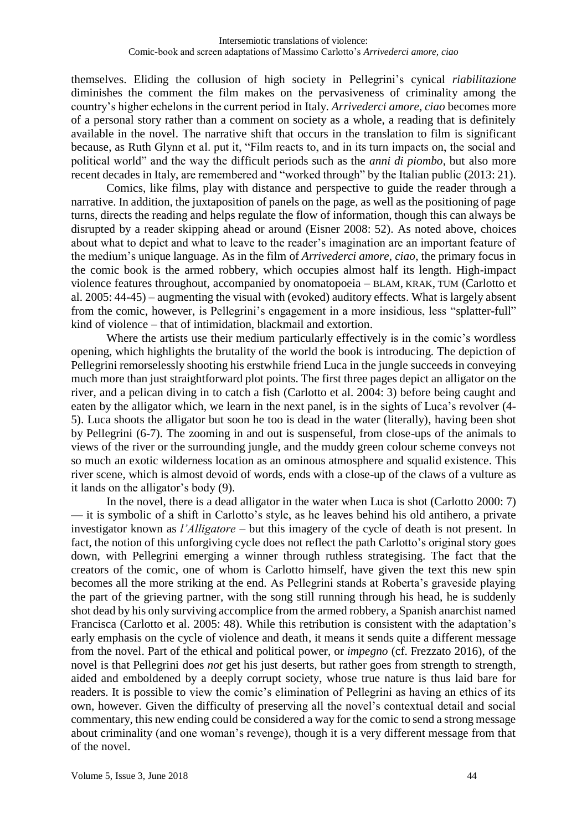themselves. Eliding the collusion of high society in Pellegrini's cynical *riabilitazione*  diminishes the comment the film makes on the pervasiveness of criminality among the country's higher echelons in the current period in Italy. *Arrivederci amore, ciao* becomes more of a personal story rather than a comment on society as a whole, a reading that is definitely available in the novel. The narrative shift that occurs in the translation to film is significant because, as Ruth Glynn et al. put it, "Film reacts to, and in its turn impacts on, the social and political world" and the way the difficult periods such as the *anni di piombo*, but also more recent decades in Italy, are remembered and "worked through" by the Italian public (2013: 21).

Comics, like films, play with distance and perspective to guide the reader through a narrative. In addition, the juxtaposition of panels on the page, as well as the positioning of page turns, directs the reading and helps regulate the flow of information, though this can always be disrupted by a reader skipping ahead or around (Eisner 2008: 52). As noted above, choices about what to depict and what to leave to the reader's imagination are an important feature of the medium's unique language. As in the film of *Arrivederci amore, ciao*, the primary focus in the comic book is the armed robbery, which occupies almost half its length. High-impact violence features throughout, accompanied by onomatopoeia – BLAM, KRAK, TUM (Carlotto et al. 2005: 44-45) – augmenting the visual with (evoked) auditory effects. What is largely absent from the comic, however, is Pellegrini's engagement in a more insidious, less "splatter-full" kind of violence – that of intimidation, blackmail and extortion.

Where the artists use their medium particularly effectively is in the comic's wordless opening, which highlights the brutality of the world the book is introducing. The depiction of Pellegrini remorselessly shooting his erstwhile friend Luca in the jungle succeeds in conveying much more than just straightforward plot points. The first three pages depict an alligator on the river, and a pelican diving in to catch a fish (Carlotto et al. 2004: 3) before being caught and eaten by the alligator which, we learn in the next panel, is in the sights of Luca's revolver (4- 5). Luca shoots the alligator but soon he too is dead in the water (literally), having been shot by Pellegrini (6-7). The zooming in and out is suspenseful, from close-ups of the animals to views of the river or the surrounding jungle, and the muddy green colour scheme conveys not so much an exotic wilderness location as an ominous atmosphere and squalid existence. This river scene, which is almost devoid of words, ends with a close-up of the claws of a vulture as it lands on the alligator's body (9).

In the novel, there is a dead alligator in the water when Luca is shot (Carlotto 2000: 7) — it is symbolic of a shift in Carlotto's style, as he leaves behind his old antihero, a private investigator known as *l'Alligatore* – but this imagery of the cycle of death is not present. In fact, the notion of this unforgiving cycle does not reflect the path Carlotto's original story goes down, with Pellegrini emerging a winner through ruthless strategising. The fact that the creators of the comic, one of whom is Carlotto himself, have given the text this new spin becomes all the more striking at the end. As Pellegrini stands at Roberta's graveside playing the part of the grieving partner, with the song still running through his head, he is suddenly shot dead by his only surviving accomplice from the armed robbery, a Spanish anarchist named Francisca (Carlotto et al. 2005: 48). While this retribution is consistent with the adaptation's early emphasis on the cycle of violence and death, it means it sends quite a different message from the novel. Part of the ethical and political power, or *impegno* (cf. Frezzato 2016), of the novel is that Pellegrini does *not* get his just deserts, but rather goes from strength to strength, aided and emboldened by a deeply corrupt society, whose true nature is thus laid bare for readers. It is possible to view the comic's elimination of Pellegrini as having an ethics of its own, however. Given the difficulty of preserving all the novel's contextual detail and social commentary, this new ending could be considered a way for the comic to send a strong message about criminality (and one woman's revenge), though it is a very different message from that of the novel.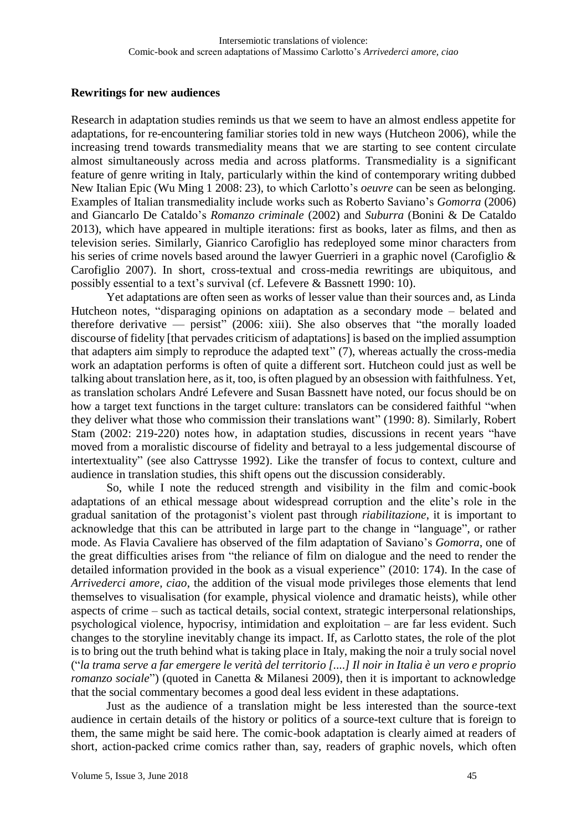### **Rewritings for new audiences**

Research in adaptation studies reminds us that we seem to have an almost endless appetite for adaptations, for re-encountering familiar stories told in new ways (Hutcheon 2006), while the increasing trend towards transmediality means that we are starting to see content circulate almost simultaneously across media and across platforms. Transmediality is a significant feature of genre writing in Italy, particularly within the kind of contemporary writing dubbed New Italian Epic (Wu Ming 1 2008: 23), to which Carlotto's *oeuvre* can be seen as belonging. Examples of Italian transmediality include works such as Roberto Saviano's *Gomorra* (2006) and Giancarlo De Cataldo's *Romanzo criminale* (2002) and *Suburra* (Bonini & De Cataldo 2013), which have appeared in multiple iterations: first as books, later as films, and then as television series. Similarly, Gianrico Carofiglio has redeployed some minor characters from his series of crime novels based around the lawyer Guerrieri in a graphic novel (Carofiglio & Carofiglio 2007). In short, cross-textual and cross-media rewritings are ubiquitous, and possibly essential to a text's survival (cf. Lefevere & Bassnett 1990: 10).

Yet adaptations are often seen as works of lesser value than their sources and, as Linda Hutcheon notes, "disparaging opinions on adaptation as a secondary mode – belated and therefore derivative — persist" (2006: xiii). She also observes that "the morally loaded discourse of fidelity [that pervades criticism of adaptations] is based on the implied assumption that adapters aim simply to reproduce the adapted text" (7), whereas actually the cross-media work an adaptation performs is often of quite a different sort. Hutcheon could just as well be talking about translation here, as it, too, is often plagued by an obsession with faithfulness. Yet, as translation scholars André Lefevere and Susan Bassnett have noted, our focus should be on how a target text functions in the target culture: translators can be considered faithful "when they deliver what those who commission their translations want" (1990: 8). Similarly, Robert Stam (2002: 219-220) notes how, in adaptation studies, discussions in recent years "have moved from a moralistic discourse of fidelity and betrayal to a less judgemental discourse of intertextuality" (see also Cattrysse 1992). Like the transfer of focus to context, culture and audience in translation studies, this shift opens out the discussion considerably.

So, while I note the reduced strength and visibility in the film and comic-book adaptations of an ethical message about widespread corruption and the elite's role in the gradual sanitation of the protagonist's violent past through *riabilitazione*, it is important to acknowledge that this can be attributed in large part to the change in "language", or rather mode. As Flavia Cavaliere has observed of the film adaptation of Saviano's *Gomorra*, one of the great difficulties arises from "the reliance of film on dialogue and the need to render the detailed information provided in the book as a visual experience" (2010: 174). In the case of *Arrivederci amore, ciao*, the addition of the visual mode privileges those elements that lend themselves to visualisation (for example, physical violence and dramatic heists), while other aspects of crime – such as tactical details, social context, strategic interpersonal relationships, psychological violence, hypocrisy, intimidation and exploitation – are far less evident. Such changes to the storyline inevitably change its impact. If, as Carlotto states, the role of the plot is to bring out the truth behind what is taking place in Italy, making the noir a truly social novel ("*la trama serve a far emergere le verità del territorio [....] Il noir in Italia è un vero e proprio romanzo sociale*") (quoted in Canetta & Milanesi 2009), then it is important to acknowledge that the social commentary becomes a good deal less evident in these adaptations.

Just as the audience of a translation might be less interested than the source-text audience in certain details of the history or politics of a source-text culture that is foreign to them, the same might be said here. The comic-book adaptation is clearly aimed at readers of short, action-packed crime comics rather than, say, readers of graphic novels, which often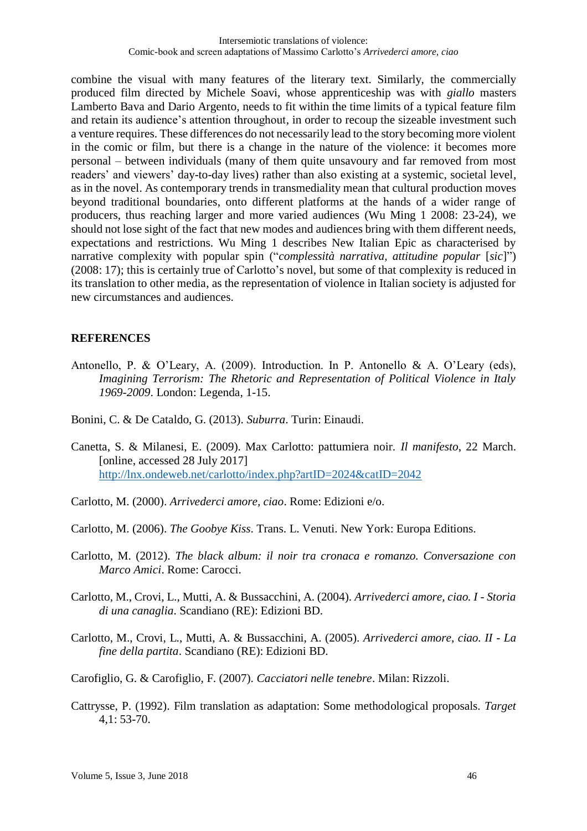combine the visual with many features of the literary text. Similarly, the commercially produced film directed by Michele Soavi, whose apprenticeship was with *giallo* masters Lamberto Bava and Dario Argento, needs to fit within the time limits of a typical feature film and retain its audience's attention throughout, in order to recoup the sizeable investment such a venture requires. These differences do not necessarily lead to the story becoming more violent in the comic or film, but there is a change in the nature of the violence: it becomes more personal – between individuals (many of them quite unsavoury and far removed from most readers' and viewers' day-to-day lives) rather than also existing at a systemic, societal level, as in the novel. As contemporary trends in transmediality mean that cultural production moves beyond traditional boundaries, onto different platforms at the hands of a wider range of producers, thus reaching larger and more varied audiences (Wu Ming 1 2008: 23-24), we should not lose sight of the fact that new modes and audiences bring with them different needs, expectations and restrictions. Wu Ming 1 describes New Italian Epic as characterised by narrative complexity with popular spin ("*complessità narrativa, attitudine popular* [*sic*]") (2008: 17); this is certainly true of Carlotto's novel, but some of that complexity is reduced in its translation to other media, as the representation of violence in Italian society is adjusted for new circumstances and audiences.

# **REFERENCES**

- Antonello, P. & O'Leary, A. (2009). Introduction. In P. Antonello & A. O'Leary (eds), *Imagining Terrorism: The Rhetoric and Representation of Political Violence in Italy 1969-2009*. London: Legenda, 1-15.
- Bonini, C. & De Cataldo, G. (2013). *Suburra*. Turin: Einaudi.
- Canetta, S. & Milanesi, E. (2009). Max Carlotto: pattumiera noir. *Il manifesto*, 22 March. [online, accessed 28 July 2017] <http://lnx.ondeweb.net/carlotto/index.php?artID=2024&catID=2042>
- Carlotto, M. (2000). *Arrivederci amore, ciao*. Rome: Edizioni e/o.
- Carlotto, M. (2006). *The Goobye Kiss*. Trans. L. Venuti. New York: Europa Editions.
- Carlotto, M. (2012). *The black album: il noir tra cronaca e romanzo. Conversazione con Marco Amici*. Rome: Carocci.
- Carlotto, M., Crovi, L., Mutti, A. & Bussacchini, A. (2004). *Arrivederci amore, ciao. I - Storia di una canaglia*. Scandiano (RE): Edizioni BD.
- Carlotto, M., Crovi, L., Mutti, A. & Bussacchini, A. (2005). *Arrivederci amore, ciao. II - La fine della partita*. Scandiano (RE): Edizioni BD.
- Carofiglio, G. & Carofiglio, F. (2007). *Cacciatori nelle tenebre*. Milan: Rizzoli.
- Cattrysse, P. (1992). Film translation as adaptation: Some methodological proposals. *Target* 4,1: 53-70.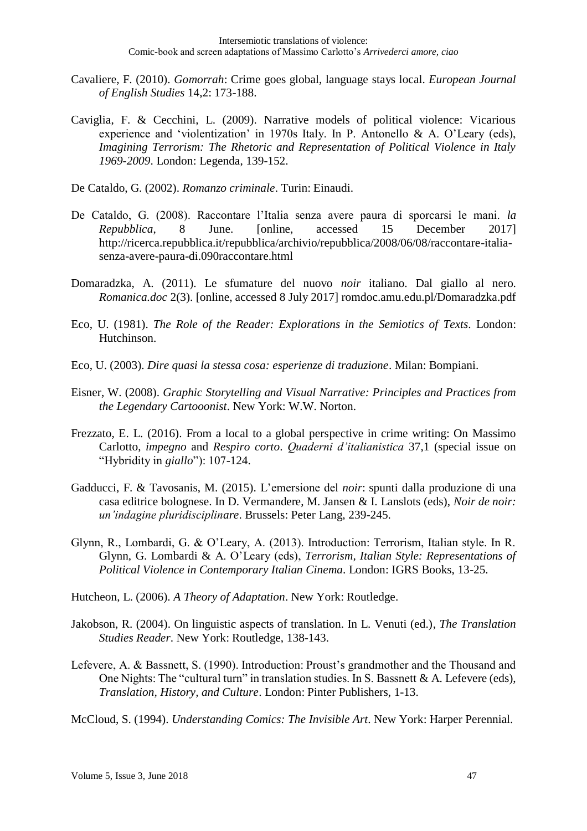- Cavaliere, F. (2010). *Gomorrah*: Crime goes global, language stays local. *European Journal of English Studies* 14,2: 173-188.
- Caviglia, F. & Cecchini, L. (2009). Narrative models of political violence: Vicarious experience and 'violentization' in 1970s Italy. In P. Antonello & A. O'Leary (eds), *Imagining Terrorism: The Rhetoric and Representation of Political Violence in Italy 1969-2009*. London: Legenda, 139-152.
- De Cataldo, G. (2002). *Romanzo criminale*. Turin: Einaudi.
- De Cataldo, G. (2008). Raccontare l'Italia senza avere paura di sporcarsi le mani. *la Repubblica*, 8 June. [online, accessed 15 December 2017] http://ricerca.repubblica.it/repubblica/archivio/repubblica/2008/06/08/raccontare-italiasenza-avere-paura-di.090raccontare.html
- Domaradzka, A. (2011). Le sfumature del nuovo *noir* italiano. Dal giallo al nero. *Romanica.doc* 2(3). [online, accessed 8 July 2017] romdoc.amu.edu.pl/Domaradzka.pdf
- Eco, U. (1981). *The Role of the Reader: Explorations in the Semiotics of Texts*. London: Hutchinson.
- Eco, U. (2003). *Dire quasi la stessa cosa: esperienze di traduzione*. Milan: Bompiani.
- Eisner, W. (2008). *Graphic Storytelling and Visual Narrative: Principles and Practices from the Legendary Cartooonist*. New York: W.W. Norton.
- Frezzato, E. L. (2016). From a local to a global perspective in crime writing: On Massimo Carlotto, *impegno* and *Respiro corto*. *Quaderni d'italianistica* 37,1 (special issue on "Hybridity in *giallo*"): 107-124.
- Gadducci, F. & Tavosanis, M. (2015). L'emersione del *noir*: spunti dalla produzione di una casa editrice bolognese. In D. Vermandere, M. Jansen & I. Lanslots (eds), *Noir de noir: un'indagine pluridisciplinare*. Brussels: Peter Lang, 239-245.
- Glynn, R., Lombardi, G. & O'Leary, A. (2013). Introduction: Terrorism, Italian style. In R. Glynn, G. Lombardi & A. O'Leary (eds), *Terrorism, Italian Style: Representations of Political Violence in Contemporary Italian Cinema*. London: IGRS Books, 13-25.
- Hutcheon, L. (2006). *A Theory of Adaptation*. New York: Routledge.
- Jakobson, R. (2004). On linguistic aspects of translation. In L. Venuti (ed.), *The Translation Studies Reader*. New York: Routledge, 138-143.
- Lefevere, A. & Bassnett, S. (1990). Introduction: Proust's grandmother and the Thousand and One Nights: The "cultural turn" in translation studies. In S. Bassnett & A. Lefevere (eds), *Translation, History, and Culture*. London: Pinter Publishers, 1-13.
- McCloud, S. (1994). *Understanding Comics: The Invisible Art*. New York: Harper Perennial.